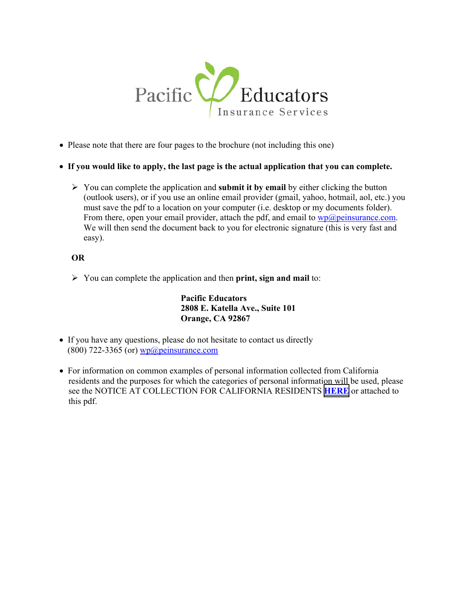

- Please note that there are four pages to the brochure (not including this one)
- **If you would like to apply, the last page is the actual application that you can complete.** 
	- $\triangleright$  You can complete the application and **submit it by email** by either clicking the button (outlook users), or if you use an online email provider (gmail, yahoo, hotmail, aol, etc.) you must save the pdf to a location on your computer (i.e. desktop or my documents folder). From there, open your email provider, attach the pdf, and email to  $wp@$  peinsurance.com. We will then send the document back to you for electronic signature (this is very fast and easy).

### **OR**

You can complete the application and then **print, sign and mail** to:

**Pacific Educators 2808 E. Katella Ave., Suite 101 Orange, CA 92867** 

- If you have any questions, please do not hesitate to contact us directly  $(800)$  722-3365 (or) wp@peinsurance.com
- For information on common examples of personal information collected from California residents and the purposes for which the categories of personal information will be used, please see the NOTICE AT COLLECTION FOR CALIFORNIA RESIDENTS **[HERE](https://www.peinsurance.com/wp-content/uploads/2021/04/N-00295CA-93-33871-Notice-At-Collection-For-California-Residents.pdf)** or attached to this pdf.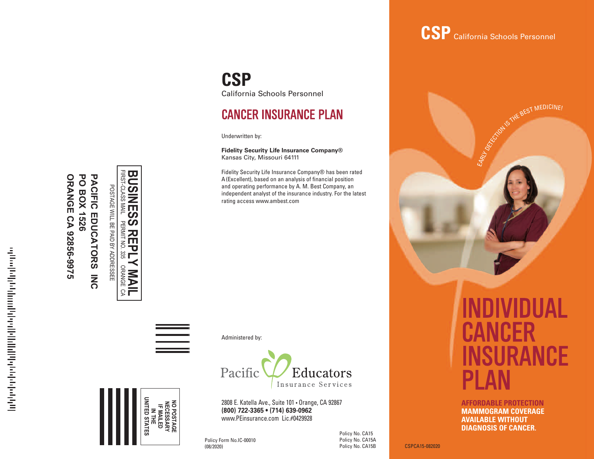#### **P A CIFIC EDUCATO R S IN C PO BOX 152 6 ORAN G E C A 92856-99 7 5**

POSTAGE  $\geq$ 몸 p<br>O ፵ ADDRESSEE

**BUSINESS SS REPLY<br>PERMIT NO. 335 MAIL**<br>Orange CA FIRST-CLASS **BUSINES** ORANGE PERMIT NO. 335 ORANGE CA

Administered by:

**CSP**

Underwritten by:

California Schools Personnel

**Fidelity Security Life Insurance Company®**

**CANCER INSURANCE PLAN** 

Fidelity Security Life Insurance Company® has been rated A(Excellent), based on an analysis of financial position and operating performance by A. M. Best Company, an independent analyst of the insurance industry. For the latest

Kansas City, Missouri 64111

rating access www.ambest.com



2808 E. Katella Ave., Suite 101 • Orange, CA 92867 **(800) 722-3365 • (714) 639-0962** www.PEinsurance.com Lic.#0429928

Policy Form No.IC-00010 (08/2020)

**NO IF IN MAILED THE POSTAGE NECESSARY**

**UNITED**

**STATES**

Policy No. CA15 Policy No. CA15A

## **CSP** California Schools Personnel



**AFFORDABLE PROTECTION MAMMOGRAM COVERAGE AVAILABLE WITHOUT AVAILABLE DIAGNOSIS OF CANCER.**  $\sim$  according to policy schedule  $\sim$  AV/

Policy No. CA15B CSPCA15-082020 (no maximum for leukemia) For private-duty Registered Nurse or Licensed

For blood and blood plasma\*

Practical Nurse\*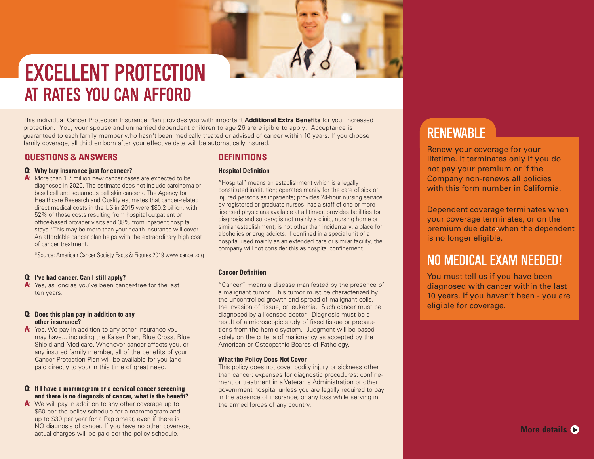# **EXCELLENT PROTECTION** AT RATES YOU CAN AFFORD

This individual Cancer Protection Insurance Plan provides you with important **Additional Extra Benefits** for your increased protection. You, your spouse and unmarried dependent children to age 26 are eligible to apply. Acceptance is guaranteed to each family member who hasn't been medically treated or advised of cancer within 10 years. If you choose family coverage, all children born after your effective date will be automatically insured.

### **QUESTIONS & ANSWERS**

### **Q: Why buy insurance just for cancer?**

**A:** More than 1.7 million new cancer cases are expected to be diagnosed in 2020. The estimate does not include carcinoma or basal cell and squamous cell skin cancers. The Agency for Healthcare Research and Quality estimates that cancer-related direct medical costs in the US in 2015 were \$80.2 billion, with 52% of those costs resulting from hospital outpatient or office-based provider visits and 38% from inpatient hospital stays.\*This may be more than your health insurance will cover. An affordable cancer plan helps with the extraordinary high cost of cancer treatment.

\*Source: American Cancer Society Facts & Figures 2019 www.cancer.org

### **Q: I've had cancer. Can I still apply?**

**A:** Yes, as long as you've been cancer-free for the last ten years.

### **Q: Does this plan pay in addition to any other insurance?**

**A:** Yes. We pay in addition to any other insurance you may have... including the Kaiser Plan, Blue Cross, Blue Shield and Medicare. Whenever cancer affects you, or any insured family member, all of the benefits of your Cancer Protection Plan will be available for you (and paid directly to you) in this time of great need.

### **Q: If I have a mammogram or a cervical cancer screening and there is no diagnosis of cancer, what is the benefit?**

**A:** We will pay in addition to any other coverage up to \$50 per the policy schedule for a mammogram and up to \$30 per year for a Pap smear, even if there is NO diagnosis of cancer. If you have no other coverage, actual charges will be paid per the policy schedule.

### **DEFINITIONS**

### **Hospital Definition**

"Hospital" means an establishment which is a legally constituted institution; operates manily for the care of sick or injured persons as inpatients; provides 24-hour nursing service by registered or graduate nurses; has a staff of one or more licensed physicians available at all times; provides facilities for diagnosis and surgery; is not mainly a clinic, nursing home or similar establishment; is not other than incidentally, a place for alcoholics or drug addicts. If confined in a special unit of a hospital used mainly as an extended care or similar facility, the company will not consider this as hospital confinement.

### **Cancer Definition**

"Cancer" means a disease manifested by the presence of a malignant tumor. This tumor must be characterized by the uncontrolled growth and spread of malignant cells, the invasion of tissue, or leukemia. Such cancer must be diagnosed by a licensed doctor. Diagnosis must be a result of a microscopic study of fixed tissue or preparations from the hemic system. Judgment will be based solely on the criteria of malignancy as accepted by the American or Osteopathic Boards of Pathology.

### **What the Policy Does Not Cover**

This policy does not cover bodily injury or sickness other than cancer; expenses for diagnostic procedures; confinement or treatment in a Veteran's Administration or other government hospital unless you are legally required to pay in the absence of insurance; or any loss while serving in the armed forces of any country.

## **RENEWABLE**

Renew your coverage for your lifetime. It terminates only if you do not pay your premium or if the Company non-renews all policies with this form number in California.

Dependent coverage terminates when your coverage terminates, or on the premium due date when the dependent is no longer eligible.

### NO MEDICAL EXAM NEEDED!

You must tell us if you have been diagnosed with cancer within the last 10 years. If you haven't been - you are eligible for coverage.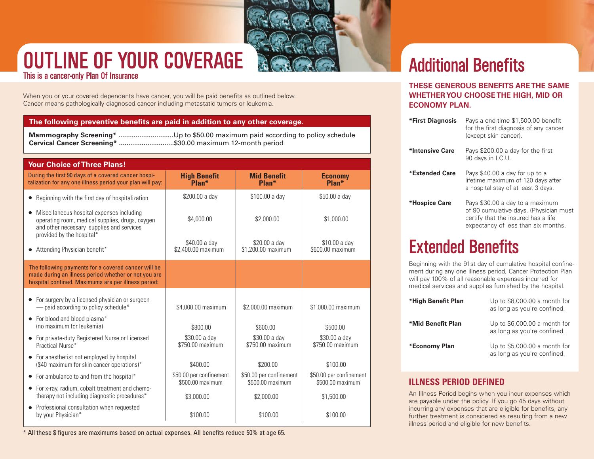

# **OUTLINE OF YOUR COVERAGE**

This is a cancer-only Plan Of Insurance

When you or your covered dependents have cancer, you will be paid benefits as outlined below. Cancer means pathologically diagnosed cancer including metastatic tumors or leukemia.

### **The following preventive benefits are paid in addition to any other coverage.**

**Mammography Screening\* .............................**Up to \$50.00 maximum paid according to policy schedule **Cervical Cancer Screening\* .............................**\$30.00 maximum 12-month period

| <b>Your Choice of Three Plans!</b>                                                                                                                                     |                                             |                                             |                                             |
|------------------------------------------------------------------------------------------------------------------------------------------------------------------------|---------------------------------------------|---------------------------------------------|---------------------------------------------|
| During the first 90 days of a covered cancer hospi-<br>talization for any one illness period your plan will pay:                                                       | <b>High Benefit</b><br>Plan*                | <b>Mid Benefit</b><br>Plan*                 | <b>Economy</b><br>Plan*                     |
| Beginning with the first day of hospitalization<br>٠                                                                                                                   | \$200.00 a day                              | \$100.00 a day                              | \$50.00 a day                               |
| Miscellaneous hospital expenses including<br>operating room, medical supplies, drugs, oxygen<br>and other necessary supplies and services<br>provided by the hospital* | \$4,000.00                                  | \$2,000.00                                  | \$1,000.00                                  |
| Attending Physician benefit*                                                                                                                                           | \$40.00 a day<br>\$2.400.00 maximum         | \$20.00 a day<br>\$1,200.00 maximum         | \$10.00 a day<br>\$600.00 maximum           |
| The following payments for a covered cancer will be<br>made during an illness period whether or not you are<br>hospital confined. Maximums are per illness period:     |                                             |                                             |                                             |
| For surgery by a licensed physician or surgeon<br>$\bullet$<br>- paid according to policy schedule*                                                                    | \$4,000.00 maximum                          | \$2,000.00 maximum                          | \$1,000.00 maximum                          |
| For blood and blood plasma*<br>$\bullet$<br>(no maximum for leukemia)                                                                                                  | \$800.00                                    | \$600.00                                    | \$500.00                                    |
| For private-duty Registered Nurse or Licensed<br>Practical Nurse*                                                                                                      | \$30.00 a day<br>\$750.00 maximum           | \$30.00 a day<br>\$750.00 maximum           | \$30.00 a day<br>\$750.00 maximum           |
| • For anesthetist not employed by hospital<br>(\$40 maximum for skin cancer operations)*                                                                               | \$400.00                                    | \$200.00                                    | \$100.00                                    |
| For ambulance to and from the hospital*<br>$\bullet$                                                                                                                   | \$50.00 per confinement<br>\$500.00 maximum | \$50.00 per confinement<br>\$500.00 maximum | \$50.00 per confinement<br>\$500.00 maximum |
| For x-ray, radium, cobalt treatment and chemo-<br>$\bullet$<br>therapy not including diagnostic procedures*                                                            | \$3,000.00                                  | \$2,000.00                                  | \$1,500.00                                  |
| Professional consultation when requested<br>$\bullet$<br>by your Physician*                                                                                            | \$100.00                                    | \$100.00                                    | \$100.00                                    |

\* All these \$ figures are maximums based on actual expenses. All benefits reduce 50% at age 65.

# **Additional Benefits**

### **THESE GENEROUS BENEFITS ARE THE SAME WHETHERYOU CHOOSE THE HIGH, MID OR ECONOMY PLAN.**

| *First Diagnosis | Pays a one-time \$1,500.00 benefit<br>for the first diagnosis of any cancer<br>(except skin cancer).                                                    |
|------------------|---------------------------------------------------------------------------------------------------------------------------------------------------------|
| *Intensive Care  | Pays \$200.00 a day for the first<br>90 days in I.C.U.                                                                                                  |
| *Extended Care   | Pays \$40.00 a day for up to a<br>lifetime maximum of 120 days after<br>a hospital stay of at least 3 days.                                             |
| *Hospice Care    | Pays \$30.00 a day to a maximum<br>of 90 cumulative days. (Physician must<br>certify that the insured has a life<br>expectancy of less than six months. |

## **Extended Benefits**

Beginning with the 91st day of cumulative hospital confinement during any one illness period, Cancer Protection Plan will pay 100% of all reasonable expenses incurred for medical services and supplies furnished by the hospital.

| *High Benefit Plan | Up to $$8,000.00$ a month for<br>as long as you're confined. |  |  |  |  |
|--------------------|--------------------------------------------------------------|--|--|--|--|
| *Mid Benefit Plan  | Up to $$6,000.00$ a month for<br>as long as you're confined. |  |  |  |  |
| *Economy Plan      | Up to \$5,000.00 a month for<br>as long as you're confined.  |  |  |  |  |

### **ILLNESS PERIOD DEFINED**

An Illness Period begins when you incur expenses which are payable under the policy. If you go 45 days without incurring any expenses that are eligible for benefits, any further treatment is considered as resulting from a new illness period and eligible for new benefits.